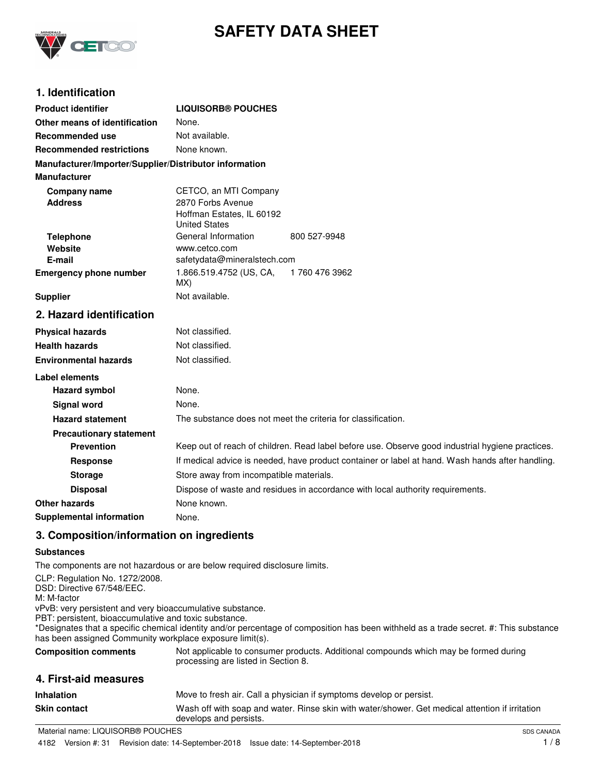

# **SAFETY DATA SHEET**

## **1. Identification**

| <b>Product identifier</b>                              | <b>LIQUISORB® POUCHES</b>                                                                        |               |
|--------------------------------------------------------|--------------------------------------------------------------------------------------------------|---------------|
| Other means of identification                          | None.                                                                                            |               |
| Recommended use                                        | Not available.                                                                                   |               |
| <b>Recommended restrictions</b>                        | None known.                                                                                      |               |
| Manufacturer/Importer/Supplier/Distributor information |                                                                                                  |               |
| <b>Manufacturer</b>                                    |                                                                                                  |               |
| <b>Company name</b><br><b>Address</b>                  | CETCO, an MTI Company<br>2870 Forbs Avenue<br>Hoffman Estates, IL 60192<br><b>United States</b>  |               |
| <b>Telephone</b>                                       | General Information                                                                              | 800 527-9948  |
| Website<br>E-mail                                      | www.cetco.com<br>safetydata@mineralstech.com                                                     |               |
| <b>Emergency phone number</b>                          | 1.866.519.4752 (US, CA,                                                                          | 1760 476 3962 |
|                                                        | MX)                                                                                              |               |
| <b>Supplier</b>                                        | Not available.                                                                                   |               |
| 2. Hazard identification                               |                                                                                                  |               |
| <b>Physical hazards</b>                                | Not classified.                                                                                  |               |
| <b>Health hazards</b>                                  | Not classified.                                                                                  |               |
| <b>Environmental hazards</b>                           | Not classified.                                                                                  |               |
| <b>Label elements</b>                                  |                                                                                                  |               |
| <b>Hazard symbol</b>                                   | None.                                                                                            |               |
| <b>Signal word</b>                                     | None.                                                                                            |               |
| <b>Hazard statement</b>                                | The substance does not meet the criteria for classification.                                     |               |
| <b>Precautionary statement</b>                         |                                                                                                  |               |
| <b>Prevention</b>                                      | Keep out of reach of children. Read label before use. Observe good industrial hygiene practices. |               |
| <b>Response</b>                                        | If medical advice is needed, have product container or label at hand. Wash hands after handling. |               |
| <b>Storage</b>                                         | Store away from incompatible materials.                                                          |               |
| <b>Disposal</b>                                        | Dispose of waste and residues in accordance with local authority requirements.                   |               |
| Other hazards                                          | None known.                                                                                      |               |
| <b>Supplemental information</b>                        | None.                                                                                            |               |

## **3. Composition/information on ingredients**

#### **Substances**

The components are not hazardous or are below required disclosure limits.

CLP: Regulation No. 1272/2008. DSD: Directive 67/548/EEC. M: M-factor vPvB: very persistent and very bioaccumulative substance. PBT: persistent, bioaccumulative and toxic substance. \*Designates that a specific chemical identity and/or percentage of composition has been withheld as a trade secret. #: This substance has been assigned Community workplace exposure limit(s). Not applicable to consumer products. Additional compounds which may be formed during processing are listed in Section 8. **Composition comments 4. First-aid measures Inhalation** Move to fresh air. Call a physician if symptoms develop or persist. Wash off with soap and water. Rinse skin with water/shower. Get medical attention if irritation develops and persists. **Skin contact**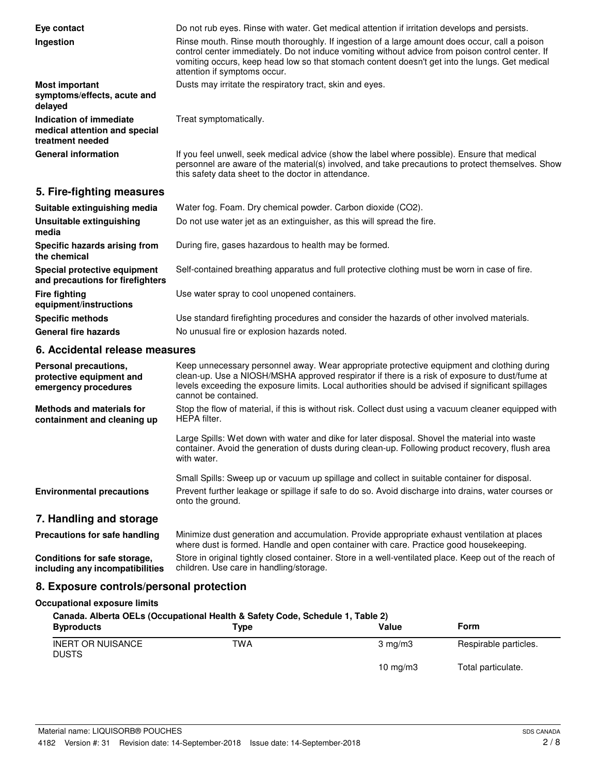| Eye contact<br>Ingestion                                                     | Do not rub eyes. Rinse with water. Get medical attention if irritation develops and persists.<br>Rinse mouth. Rinse mouth thoroughly. If ingestion of a large amount does occur, call a poison<br>control center immediately. Do not induce vomiting without advice from poison control center. If<br>vomiting occurs, keep head low so that stomach content doesn't get into the lungs. Get medical<br>attention if symptoms occur. |
|------------------------------------------------------------------------------|--------------------------------------------------------------------------------------------------------------------------------------------------------------------------------------------------------------------------------------------------------------------------------------------------------------------------------------------------------------------------------------------------------------------------------------|
| <b>Most important</b><br>symptoms/effects, acute and<br>delayed              | Dusts may irritate the respiratory tract, skin and eyes.                                                                                                                                                                                                                                                                                                                                                                             |
| Indication of immediate<br>medical attention and special<br>treatment needed | Treat symptomatically.                                                                                                                                                                                                                                                                                                                                                                                                               |
| <b>General information</b>                                                   | If you feel unwell, seek medical advice (show the label where possible). Ensure that medical<br>personnel are aware of the material(s) involved, and take precautions to protect themselves. Show<br>this safety data sheet to the doctor in attendance.                                                                                                                                                                             |

## **5. Fire-fighting measures**

| Suitable extinguishing media                                     | Water fog. Foam. Dry chemical powder. Carbon dioxide (CO2).                                   |
|------------------------------------------------------------------|-----------------------------------------------------------------------------------------------|
| Unsuitable extinguishing<br>media                                | Do not use water jet as an extinguisher, as this will spread the fire.                        |
| Specific hazards arising from<br>the chemical                    | During fire, gases hazardous to health may be formed.                                         |
| Special protective equipment<br>and precautions for firefighters | Self-contained breathing apparatus and full protective clothing must be worn in case of fire. |
| <b>Fire fighting</b><br>equipment/instructions                   | Use water spray to cool unopened containers.                                                  |
| <b>Specific methods</b>                                          | Use standard firefighting procedures and consider the hazards of other involved materials.    |
| <b>General fire hazards</b>                                      | No unusual fire or explosion hazards noted.                                                   |

## **6. Accidental release measures**

| Personal precautions.<br>protective equipment and<br>emergency procedures | Keep unnecessary personnel away. Wear appropriate protective equipment and clothing during<br>clean-up. Use a NIOSH/MSHA approved respirator if there is a risk of exposure to dust/fume at<br>levels exceeding the exposure limits. Local authorities should be advised if significant spillages<br>cannot be contained. |
|---------------------------------------------------------------------------|---------------------------------------------------------------------------------------------------------------------------------------------------------------------------------------------------------------------------------------------------------------------------------------------------------------------------|
| Methods and materials for<br>containment and cleaning up                  | Stop the flow of material, if this is without risk. Collect dust using a vacuum cleaner equipped with<br>HEPA filter.                                                                                                                                                                                                     |
|                                                                           | Large Spills: Wet down with water and dike for later disposal. Shovel the material into waste<br>container. Avoid the generation of dusts during clean-up. Following product recovery, flush area<br>with water.                                                                                                          |
|                                                                           | Small Spills: Sweep up or vacuum up spillage and collect in suitable container for disposal.                                                                                                                                                                                                                              |
| <b>Environmental precautions</b>                                          | Prevent further leakage or spillage if safe to do so. Avoid discharge into drains, water courses or<br>onto the ground.                                                                                                                                                                                                   |
| 7. Handling and storage                                                   |                                                                                                                                                                                                                                                                                                                           |
| Precautions for safe handling                                             | Minimize dust generation and accumulation. Provide appropriate exhaust ventilation at places<br>where dust is formed. Handle and open container with care. Practice good housekeeping.                                                                                                                                    |

Store in original tightly closed container. Store in a well-ventilated place. Keep out of the reach of children. Use care in handling/storage. **Conditions for safe storage, including any incompatibilities**

## **8. Exposure controls/personal protection**

## **Occupational exposure limits**

| Canada. Alberta OELs (Occupational Health & Safety Code, Schedule 1, Table 2) |      |                  |                       |
|-------------------------------------------------------------------------------|------|------------------|-----------------------|
| <b>Byproducts</b>                                                             | Type | Value            | Form                  |
| <b>INERT OR NUISANCE</b><br><b>DUSTS</b>                                      | TWA  | $3 \text{ ma/m}$ | Respirable particles. |
|                                                                               |      | 10 $mq/m3$       | Total particulate.    |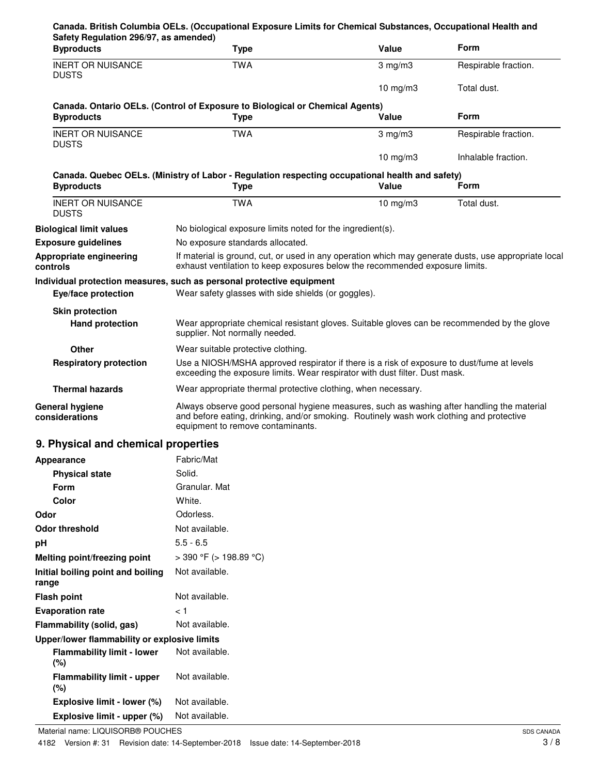| Safety Regulation 296/97, as amended)<br><b>Byproducts</b>                        | <b>Type</b>                                                                                                                                                                                                                 | Value            | Form                 |
|-----------------------------------------------------------------------------------|-----------------------------------------------------------------------------------------------------------------------------------------------------------------------------------------------------------------------------|------------------|----------------------|
| <b>INERT OR NUISANCE</b><br><b>DUSTS</b>                                          | <b>TWA</b>                                                                                                                                                                                                                  | $3$ mg/m $3$     | Respirable fraction. |
|                                                                                   |                                                                                                                                                                                                                             | 10 $mg/m3$       | Total dust.          |
| <b>Byproducts</b>                                                                 | Canada. Ontario OELs. (Control of Exposure to Biological or Chemical Agents)<br><b>Type</b>                                                                                                                                 | Value            | <b>Form</b>          |
| <b>INERT OR NUISANCE</b><br><b>DUSTS</b>                                          | <b>TWA</b>                                                                                                                                                                                                                  | $3 \text{ mg/m}$ | Respirable fraction. |
|                                                                                   |                                                                                                                                                                                                                             | 10 $mg/m3$       | Inhalable fraction.  |
| <b>Byproducts</b>                                                                 | Canada. Quebec OELs. (Ministry of Labor - Regulation respecting occupational health and safety)<br><b>Type</b>                                                                                                              | Value            | Form                 |
| <b>INERT OR NUISANCE</b><br><b>DUSTS</b>                                          | <b>TWA</b>                                                                                                                                                                                                                  | 10 $mg/m3$       | Total dust.          |
| <b>Biological limit values</b>                                                    | No biological exposure limits noted for the ingredient(s).                                                                                                                                                                  |                  |                      |
| <b>Exposure guidelines</b>                                                        | No exposure standards allocated.                                                                                                                                                                                            |                  |                      |
| Appropriate engineering<br>controls                                               | If material is ground, cut, or used in any operation which may generate dusts, use appropriate local<br>exhaust ventilation to keep exposures below the recommended exposure limits.                                        |                  |                      |
|                                                                                   | Individual protection measures, such as personal protective equipment                                                                                                                                                       |                  |                      |
| Eye/face protection                                                               | Wear safety glasses with side shields (or goggles).                                                                                                                                                                         |                  |                      |
| <b>Skin protection</b>                                                            |                                                                                                                                                                                                                             |                  |                      |
| <b>Hand protection</b>                                                            | Wear appropriate chemical resistant gloves. Suitable gloves can be recommended by the glove<br>supplier. Not normally needed.                                                                                               |                  |                      |
| Other                                                                             | Wear suitable protective clothing.                                                                                                                                                                                          |                  |                      |
| <b>Respiratory protection</b>                                                     | Use a NIOSH/MSHA approved respirator if there is a risk of exposure to dust/fume at levels<br>exceeding the exposure limits. Wear respirator with dust filter. Dust mask.                                                   |                  |                      |
| <b>Thermal hazards</b>                                                            | Wear appropriate thermal protective clothing, when necessary.                                                                                                                                                               |                  |                      |
| <b>General hygiene</b><br>considerations                                          | Always observe good personal hygiene measures, such as washing after handling the material<br>and before eating, drinking, and/or smoking. Routinely wash work clothing and protective<br>equipment to remove contaminants. |                  |                      |
| 9. Physical and chemical properties                                               |                                                                                                                                                                                                                             |                  |                      |
| Appearance                                                                        | Fabric/Mat                                                                                                                                                                                                                  |                  |                      |
| <b>Physical state</b>                                                             | Solid.                                                                                                                                                                                                                      |                  |                      |
| Form                                                                              | Granular. Mat                                                                                                                                                                                                               |                  |                      |
| <b>Color</b>                                                                      | White.                                                                                                                                                                                                                      |                  |                      |
| Odor                                                                              | Odorless.                                                                                                                                                                                                                   |                  |                      |
| <b>Odor threshold</b>                                                             | Not available.                                                                                                                                                                                                              |                  |                      |
| pH                                                                                | $5.5 - 6.5$                                                                                                                                                                                                                 |                  |                      |
| Melting point/freezing point                                                      | $>$ 390 °F ( $>$ 198.89 °C)                                                                                                                                                                                                 |                  |                      |
| Initial boiling point and boiling<br>range                                        | Not available.                                                                                                                                                                                                              |                  |                      |
| <b>Flash point</b>                                                                | Not available.                                                                                                                                                                                                              |                  |                      |
| <b>Evaporation rate</b>                                                           | ا >                                                                                                                                                                                                                         |                  |                      |
| Flammability (solid, gas)                                                         | Not available.                                                                                                                                                                                                              |                  |                      |
| Upper/lower flammability or explosive limits<br><b>Flammability limit - lower</b> | Not available.                                                                                                                                                                                                              |                  |                      |
| (%)<br><b>Flammability limit - upper</b><br>$(\%)$                                | Not available.                                                                                                                                                                                                              |                  |                      |
| Explosive limit - lower (%)                                                       | Not available.                                                                                                                                                                                                              |                  |                      |
| Explosive limit - upper (%)                                                       | Not available.                                                                                                                                                                                                              |                  |                      |
|                                                                                   |                                                                                                                                                                                                                             |                  |                      |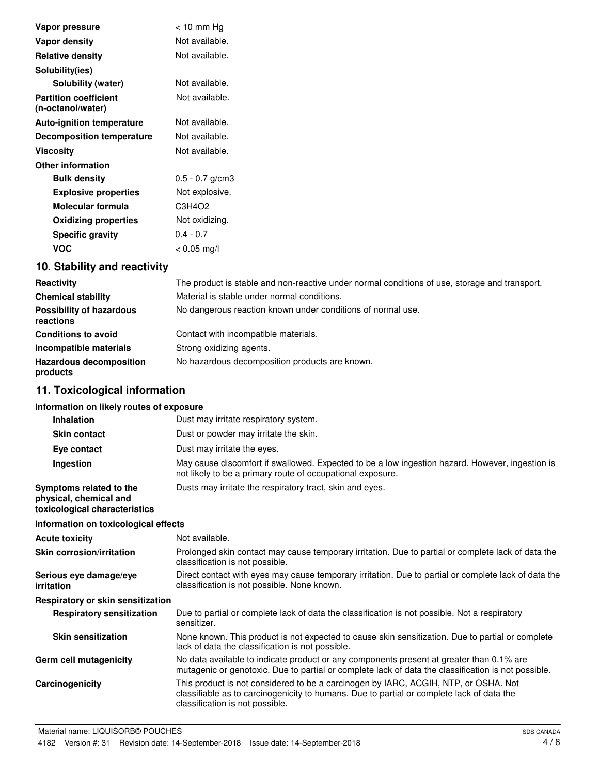| Vapor pressure                                    | $<$ 10 mm Hg      |
|---------------------------------------------------|-------------------|
| Vapor density                                     | Not available.    |
| <b>Relative density</b>                           | Not available.    |
| Solubility(ies)                                   |                   |
| Solubility (water)                                | Not available.    |
| <b>Partition coefficient</b><br>(n-octanol/water) | Not available.    |
| <b>Auto-ignition temperature</b>                  | Not available.    |
| <b>Decomposition temperature</b>                  | Not available.    |
| <b>Viscosity</b>                                  | Not available.    |
| <b>Other information</b>                          |                   |
| <b>Bulk density</b>                               | $0.5 - 0.7$ g/cm3 |
| <b>Explosive properties</b>                       | Not explosive.    |
| Molecular formula                                 | C3H4O2            |
| <b>Oxidizing properties</b>                       | Not oxidizing.    |
| <b>Specific gravity</b>                           | $0.4 - 0.7$       |
| <b>VOC</b>                                        | $< 0.05$ mg/l     |

# **10. Stability and reactivity**

| Reactivity                                   | The product is stable and non-reactive under normal conditions of use, storage and transport. |
|----------------------------------------------|-----------------------------------------------------------------------------------------------|
| <b>Chemical stability</b>                    | Material is stable under normal conditions.                                                   |
| <b>Possibility of hazardous</b><br>reactions | No dangerous reaction known under conditions of normal use.                                   |
| <b>Conditions to avoid</b>                   | Contact with incompatible materials.                                                          |
| Incompatible materials                       | Strong oxidizing agents.                                                                      |
| <b>Hazardous decomposition</b><br>products   | No hazardous decomposition products are known.                                                |

# **11. Toxicological information**

#### **Information on likely routes of exposure**

| <b>Inhalation</b>                                                                  | Dust may irritate respiratory system.                                                                                                                                                                               |
|------------------------------------------------------------------------------------|---------------------------------------------------------------------------------------------------------------------------------------------------------------------------------------------------------------------|
| <b>Skin contact</b>                                                                | Dust or powder may irritate the skin.                                                                                                                                                                               |
| Eye contact                                                                        | Dust may irritate the eyes.                                                                                                                                                                                         |
| Ingestion                                                                          | May cause discomfort if swallowed. Expected to be a low ingestion hazard. However, ingestion is<br>not likely to be a primary route of occupational exposure.                                                       |
| Symptoms related to the<br>physical, chemical and<br>toxicological characteristics | Dusts may irritate the respiratory tract, skin and eyes.                                                                                                                                                            |
| Information on toxicological effects                                               |                                                                                                                                                                                                                     |
| Acute toxicity                                                                     | Not available.                                                                                                                                                                                                      |
| <b>Skin corrosion/irritation</b>                                                   | Prolonged skin contact may cause temporary irritation. Due to partial or complete lack of data the<br>classification is not possible.                                                                               |
| Serious eye damage/eye<br>irritation                                               | Direct contact with eyes may cause temporary irritation. Due to partial or complete lack of data the<br>classification is not possible. None known.                                                                 |
| Respiratory or skin sensitization                                                  |                                                                                                                                                                                                                     |
| <b>Respiratory sensitization</b>                                                   | Due to partial or complete lack of data the classification is not possible. Not a respiratory<br>sensitizer.                                                                                                        |
| <b>Skin sensitization</b>                                                          | None known. This product is not expected to cause skin sensitization. Due to partial or complete<br>lack of data the classification is not possible.                                                                |
| Germ cell mutagenicity                                                             | No data available to indicate product or any components present at greater than 0.1% are<br>mutagenic or genotoxic. Due to partial or complete lack of data the classification is not possible.                     |
| Carcinogenicity                                                                    | This product is not considered to be a carcinogen by IARC, ACGIH, NTP, or OSHA. Not<br>classifiable as to carcinogenicity to humans. Due to partial or complete lack of data the<br>classification is not possible. |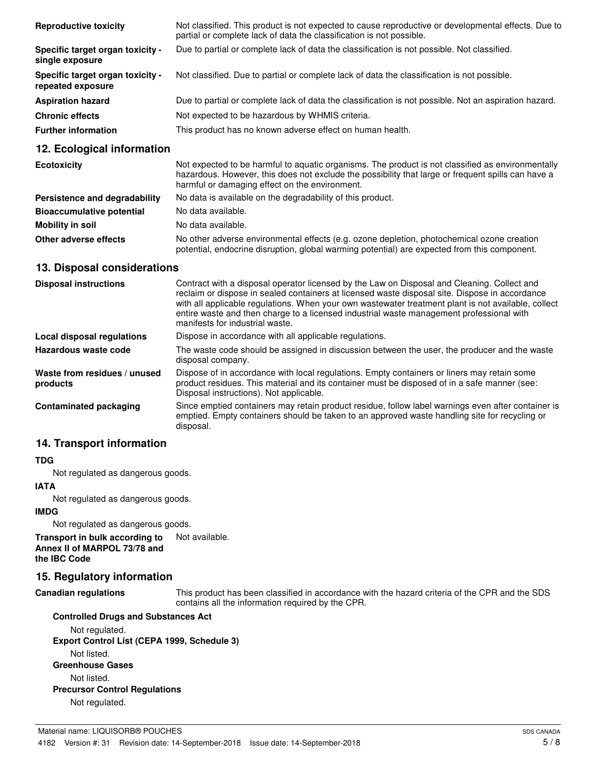| <b>Reproductive toxicity</b>                          | Not classified. This product is not expected to cause reproductive or developmental effects. Due to<br>partial or complete lack of data the classification is not possible. |
|-------------------------------------------------------|-----------------------------------------------------------------------------------------------------------------------------------------------------------------------------|
| Specific target organ toxicity -<br>single exposure   | Due to partial or complete lack of data the classification is not possible. Not classified.                                                                                 |
| Specific target organ toxicity -<br>repeated exposure | Not classified. Due to partial or complete lack of data the classification is not possible.                                                                                 |
| <b>Aspiration hazard</b>                              | Due to partial or complete lack of data the classification is not possible. Not an aspiration hazard.                                                                       |
| <b>Chronic effects</b>                                | Not expected to be hazardous by WHMIS criteria.                                                                                                                             |
| <b>Further information</b>                            | This product has no known adverse effect on human health.                                                                                                                   |

#### **12. Ecological information**

| <b>Ecotoxicity</b>               | Not expected to be harmful to aquatic organisms. The product is not classified as environmentally<br>hazardous. However, this does not exclude the possibility that large or frequent spills can have a<br>harmful or damaging effect on the environment. |
|----------------------------------|-----------------------------------------------------------------------------------------------------------------------------------------------------------------------------------------------------------------------------------------------------------|
| Persistence and degradability    | No data is available on the degradability of this product.                                                                                                                                                                                                |
| <b>Bioaccumulative potential</b> | No data available.                                                                                                                                                                                                                                        |
| Mobility in soil                 | No data available.                                                                                                                                                                                                                                        |
| Other adverse effects            | No other adverse environmental effects (e.g. ozone depletion, photochemical ozone creation<br>potential, endocrine disruption, global warming potential) are expected from this component.                                                                |

#### **13. Disposal considerations**

| <b>Disposal instructions</b>             | Contract with a disposal operator licensed by the Law on Disposal and Cleaning. Collect and<br>reclaim or dispose in sealed containers at licensed waste disposal site. Dispose in accordance<br>with all applicable regulations. When your own wastewater treatment plant is not available, collect<br>entire waste and then charge to a licensed industrial waste management professional with<br>manifests for industrial waste. |
|------------------------------------------|-------------------------------------------------------------------------------------------------------------------------------------------------------------------------------------------------------------------------------------------------------------------------------------------------------------------------------------------------------------------------------------------------------------------------------------|
| Local disposal regulations               | Dispose in accordance with all applicable regulations.                                                                                                                                                                                                                                                                                                                                                                              |
| Hazardous waste code                     | The waste code should be assigned in discussion between the user, the producer and the waste<br>disposal company.                                                                                                                                                                                                                                                                                                                   |
| Waste from residues / unused<br>products | Dispose of in accordance with local regulations. Empty containers or liners may retain some<br>product residues. This material and its container must be disposed of in a safe manner (see:<br>Disposal instructions). Not applicable.                                                                                                                                                                                              |
| Contaminated packaging                   | Since emptied containers may retain product residue, follow label warnings even after container is<br>emptied. Empty containers should be taken to an approved waste handling site for recycling or<br>disposal.                                                                                                                                                                                                                    |

## **14. Transport information**

#### **TDG**

Not regulated as dangerous goods.

#### **IATA**

Not regulated as dangerous goods.

#### **IMDG**

Not regulated as dangerous goods.

#### **Transport in bulk according to** Not available. **Annex II of MARPOL 73/78 and the IBC Code**

### **15. Regulatory information**

#### **Canadian regulations**

This product has been classified in accordance with the hazard criteria of the CPR and the SDS contains all the information required by the CPR.

## **Controlled Drugs and Substances Act** Not regulated. **Export Control List (CEPA 1999, Schedule 3)** Not listed. **Greenhouse Gases** Not listed. **Precursor Control Regulations** Not regulated.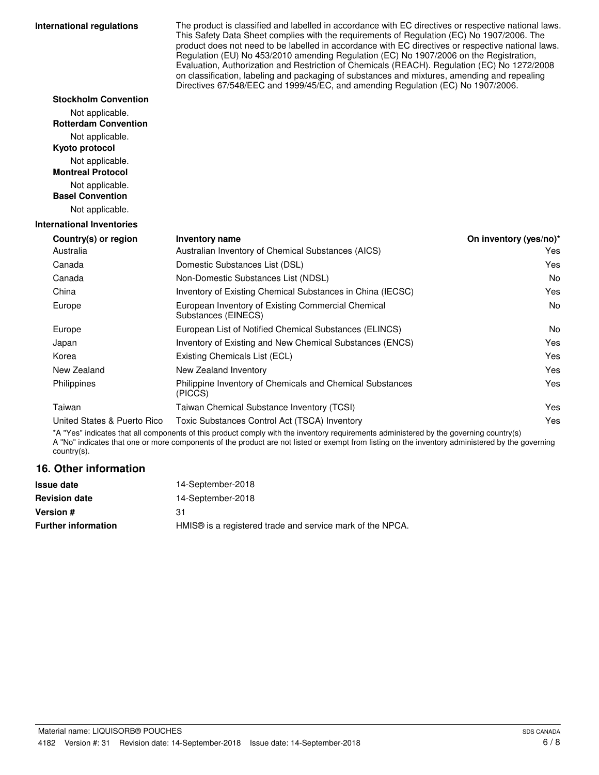#### **International regulations**

**Stockholm Convention** Not applicable. **Rotterdam Convention**

The product is classified and labelled in accordance with EC directives or respective national laws. This Safety Data Sheet complies with the requirements of Regulation (EC) No 1907/2006. The product does not need to be labelled in accordance with EC directives or respective national laws. Regulation (EU) No 453/2010 amending Regulation (EC) No 1907/2006 on the Registration, Evaluation, Authorization and Restriction of Chemicals (REACH). Regulation (EC) No 1272/2008 on classification, labeling and packaging of substances and mixtures, amending and repealing Directives 67/548/EEC and 1999/45/EC, and amending Regulation (EC) No 1907/2006.

| Not applicable.                            |                                                                           |                        |
|--------------------------------------------|---------------------------------------------------------------------------|------------------------|
| Kyoto protocol                             |                                                                           |                        |
| Not applicable.                            |                                                                           |                        |
| <b>Montreal Protocol</b>                   |                                                                           |                        |
| Not applicable.<br><b>Basel Convention</b> |                                                                           |                        |
|                                            |                                                                           |                        |
| Not applicable.                            |                                                                           |                        |
| <b>International Inventories</b>           |                                                                           |                        |
| Country(s) or region                       | <b>Inventory name</b>                                                     | On inventory (yes/no)* |
| Australia                                  | Australian Inventory of Chemical Substances (AICS)                        | <b>Yes</b>             |
| Canada                                     | Domestic Substances List (DSL)                                            | Yes                    |
| Canada                                     | Non-Domestic Substances List (NDSL)                                       | No                     |
| China                                      | Inventory of Existing Chemical Substances in China (IECSC)                | Yes                    |
| Europe                                     | European Inventory of Existing Commercial Chemical<br>Substances (EINECS) | No                     |
| Europe                                     | European List of Notified Chemical Substances (ELINCS)                    | No                     |
| Japan                                      | Inventory of Existing and New Chemical Substances (ENCS)                  | Yes                    |
| Korea                                      | Existing Chemicals List (ECL)                                             | Yes                    |
| New Zealand                                | New Zealand Inventory                                                     | Yes                    |
| Philippines                                | Philippine Inventory of Chemicals and Chemical Substances<br>(PICCS)      | Yes                    |
| Taiwan                                     | Taiwan Chemical Substance Inventory (TCSI)                                | Yes                    |
| United States & Puerto Rico                | Toxic Substances Control Act (TSCA) Inventory                             | Yes                    |

\*A "Yes" indicates that all components of this product comply with the inventory requirements administered by the governing country(s) A "No" indicates that one or more components of the product are not listed or exempt from listing on the inventory administered by the governing country(s).

#### **16. Other information**

| 14-September-2018                                                     |
|-----------------------------------------------------------------------|
| 14-September-2018                                                     |
| 31                                                                    |
| HMIS <sup>®</sup> is a registered trade and service mark of the NPCA. |
|                                                                       |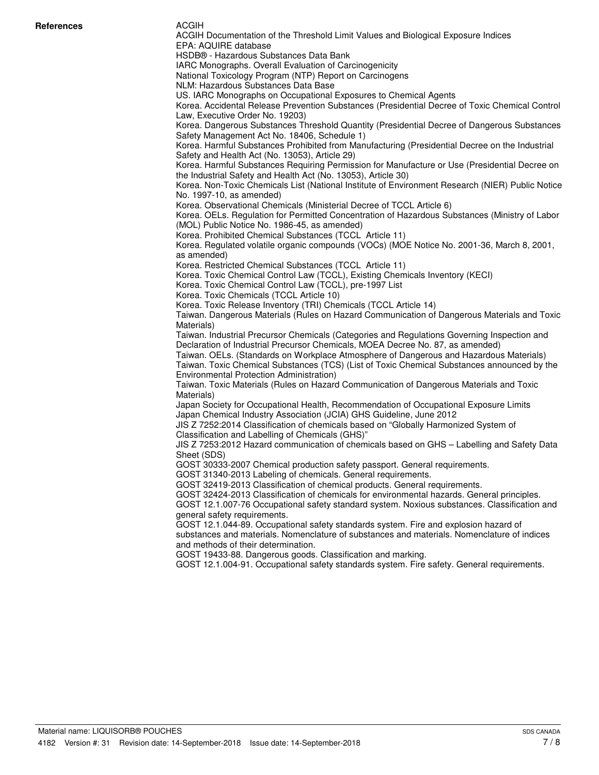#### ACGIH

ACGIH Documentation of the Threshold Limit Values and Biological Exposure Indices EPA: AQUIRE database HSDB® - Hazardous Substances Data Bank IARC Monographs. Overall Evaluation of Carcinogenicity National Toxicology Program (NTP) Report on Carcinogens NLM: Hazardous Substances Data Base US. IARC Monographs on Occupational Exposures to Chemical Agents Korea. Accidental Release Prevention Substances (Presidential Decree of Toxic Chemical Control Law, Executive Order No. 19203) Korea. Dangerous Substances Threshold Quantity (Presidential Decree of Dangerous Substances Safety Management Act No. 18406, Schedule 1) Korea. Harmful Substances Prohibited from Manufacturing (Presidential Decree on the Industrial Safety and Health Act (No. 13053), Article 29) Korea. Harmful Substances Requiring Permission for Manufacture or Use (Presidential Decree on the Industrial Safety and Health Act (No. 13053), Article 30) Korea. Non-Toxic Chemicals List (National Institute of Environment Research (NIER) Public Notice No. 1997-10, as amended) Korea. Observational Chemicals (Ministerial Decree of TCCL Article 6) Korea. OELs. Regulation for Permitted Concentration of Hazardous Substances (Ministry of Labor (MOL) Public Notice No. 1986-45, as amended) Korea. Prohibited Chemical Substances (TCCL Article 11) Korea. Regulated volatile organic compounds (VOCs) (MOE Notice No. 2001-36, March 8, 2001, as amended) Korea. Restricted Chemical Substances (TCCL Article 11) Korea. Toxic Chemical Control Law (TCCL), Existing Chemicals Inventory (KECI) Korea. Toxic Chemical Control Law (TCCL), pre-1997 List Korea. Toxic Chemicals (TCCL Article 10) Korea. Toxic Release Inventory (TRI) Chemicals (TCCL Article 14) Taiwan. Dangerous Materials (Rules on Hazard Communication of Dangerous Materials and Toxic Materials) Taiwan. Industrial Precursor Chemicals (Categories and Regulations Governing Inspection and Declaration of Industrial Precursor Chemicals, MOEA Decree No. 87, as amended) Taiwan. OELs. (Standards on Workplace Atmosphere of Dangerous and Hazardous Materials) Taiwan. Toxic Chemical Substances (TCS) (List of Toxic Chemical Substances announced by the Environmental Protection Administration) Taiwan. Toxic Materials (Rules on Hazard Communication of Dangerous Materials and Toxic Materials) Japan Society for Occupational Health, Recommendation of Occupational Exposure Limits Japan Chemical Industry Association (JCIA) GHS Guideline, June 2012 JIS Z 7252:2014 Classification of chemicals based on "Globally Harmonized System of Classification and Labelling of Chemicals (GHS)" JIS Z 7253:2012 Hazard communication of chemicals based on GHS – Labelling and Safety Data Sheet (SDS) GOST 30333-2007 Chemical production safety passport. General requirements. GOST 31340-2013 Labeling of chemicals. General requirements. GOST 32419-2013 Classification of chemical products. General requirements. GOST 32424-2013 Classification of chemicals for environmental hazards. General principles. GOST 12.1.007-76 Occupational safety standard system. Noxious substances. Classification and general safety requirements. GOST 12.1.044-89. Occupational safety standards system. Fire and explosion hazard of substances and materials. Nomenclature of substances and materials. Nomenclature of indices and methods of their determination. GOST 19433-88. Dangerous goods. Classification and marking. GOST 12.1.004-91. Occupational safety standards system. Fire safety. General requirements.